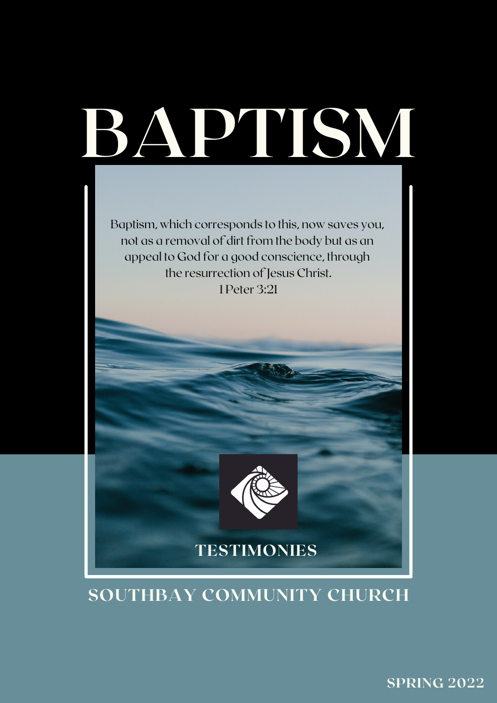

Baptism, which corresponds to this, now saves you, not as a removal of dirt from the body but as an appeal to God for a good conscience, through the resurrection of Jesus Christ. 1 Peter 3:21



#### SOUTHBAY COMMUNITY CHURCH

SPRING 2022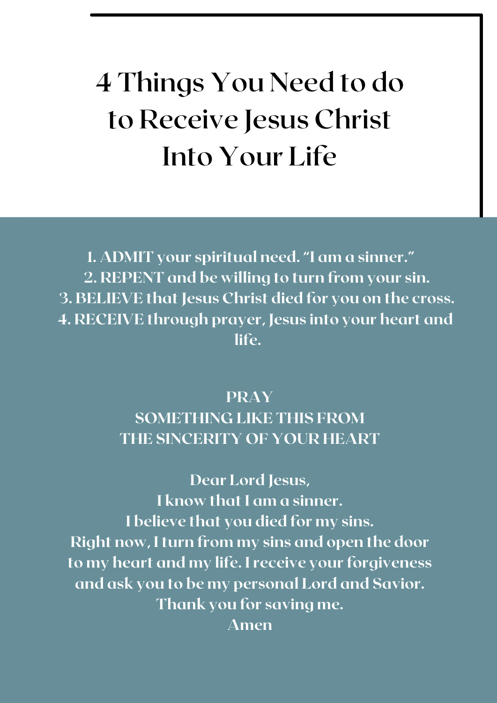# **4 Things You Need to do to Receive Jesus Christ Into Your Life**

1. ADMIT your spiritual need. "I am a sinner." 2. REPENT and be willing to turn from your sin. 3. BELIEVE that Jesus Christ died for you on the cross. 4. RECEIVE through prayer, Jesus into your heart and life.

#### PRAY SOMETHING LIKE THIS FROM THE SINCERITY OF YOUR HEART

Dear Lord Jesus, I know that I am a sinner. I believe that you died for my sins. Right now, I turn from my sins and open the door to my heart and my life. I receive your forgiveness and ask you to be my personal Lord and Savior. Thank you for saving me. Amen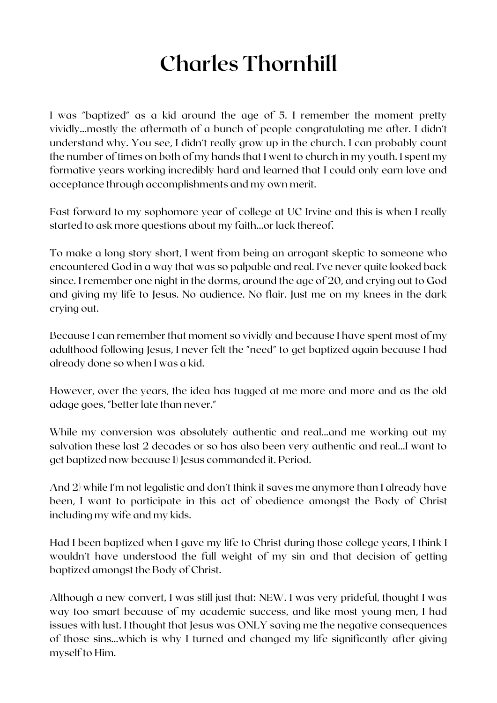# **Charles Thornhill**

I was "baptized" as a kid around the age of 5. I remember the moment pretty vividly...mostly the aftermath of a bunch of people congratulating me after. I didn't understand why. You see, I didn't really grow up in the church. I can probably count the number of times on both of my hands that I went to church in my youth. I spent my formative years working incredibly hard and learned that I could only earn love and acceptance through accomplishments and my own merit.

Fast forward to my sophomore year of college at UC Irvine and this is when I really started to ask more questions about my faith...or lack thereof.

To make a long story short, I went from being an arrogant skeptic to someone who encountered God in a way that was so palpable and real. I've never quite looked back since. I remember one night in the dorms, around the age of 20, and crying out to God and giving my life to Jesus. No audience. No flair. Just me on my knees in the dark crying out.

Because I can remember that moment so vividly and because I have spent most of my adulthood following Jesus, I never felt the "need" to get baptized again because I had already done so when I was a kid.

However, over the years, the idea has tugged at me more and more and as the old adage goes, "better late than never."

While my conversion was absolutely authentic and real...and me working out my salvation these last 2 decades or so has also been very authentic and real...I want to get baptized now because 1) Jesus commanded it. Period.

And 2) while I'm not legalistic and don't think it saves me anymore than I already have been, I want to participate in this act of obedience amongst the Body of Christ including my wife and my kids.

Had I been baptized when I gave my life to Christ during those college years, I think I wouldn't have understood the full weight of my sin and that decision of getting baptized amongst the Body of Christ.

Although a new convert, I was still just that: NEW. I was very prideful, thought I was way too smart because of my academic success, and like most young men, I had issues with lust. I thought that Jesus was ONLY saving me the negative consequences of those sins...which is why I turned and changed my life significantly after giving myself to Him.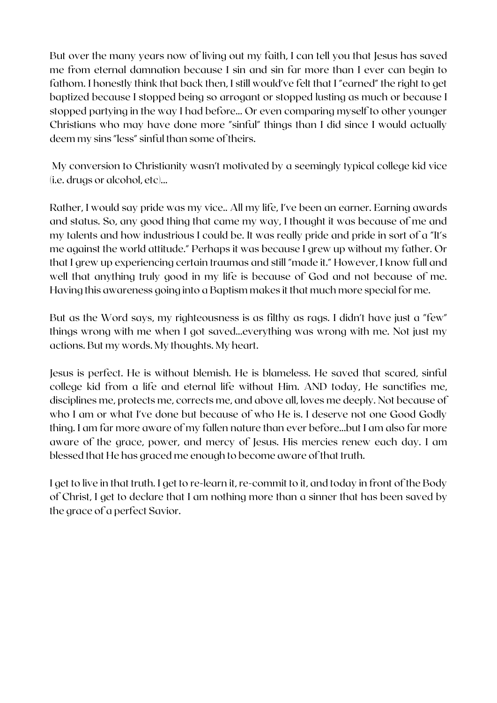But over the many years now of living out my faith, I can tell you that Jesus has saved me from eternal damnation because I sin and sin far more than I ever can begin to fathom. I honestly think that back then, I still would've felt that I "earned" the right to get baptized because I stopped being so arrogant or stopped lusting as much or because I stopped partying in the way I had before... Or even comparing myself to other younger Christians who may have done more "sinful" things than I did since I would actually deem my sins "less" sinful than some of theirs.

My conversion to Christianity wasn't motivated by a seemingly typical college kid vice (i.e. drugs or alcohol, etc)...

Rather, I would say pride was my vice.. All my life, I've been an earner. Earning awards and status. So, any good thing that came my way, I thought it was because of me and my talents and how industrious I could be. It was really pride and pride in sort of a "It's me against the world attitude." Perhaps it was because I grew up without my father. Or that I grew up experiencing certain traumas and still "made it." However, I know full and well that anything truly good in my life is because of God and not because of me. Having this awareness going into a Baptism makes it that much more special for me.

But as the Word says, my righteousness is as filthy as rags. I didn't have just a "few" things wrong with me when I got saved...everything was wrong with me. Not just my actions. But my words. My thoughts. My heart.

Jesus is perfect. He is without blemish. He is blameless. He saved that scared, sinful college kid from a life and eternal life without Him. AND today, He sanctifies me, disciplines me, protects me, corrects me, and above all, loves me deeply. Not because of who I am or what I've done but because of who He is. I deserve not one Good Godly thing. I am far more aware of my fallen nature than ever before...but I am also far more aware of the grace, power, and mercy of Jesus. His mercies renew each day. I am blessed that He has graced me enough to become aware of that truth.

I get to live in that truth. I get to re-learn it, re-commit to it, and today in front of the Body of Christ, I get to declare that I am nothing more than a sinner that has been saved by the grace of a perfect Savior.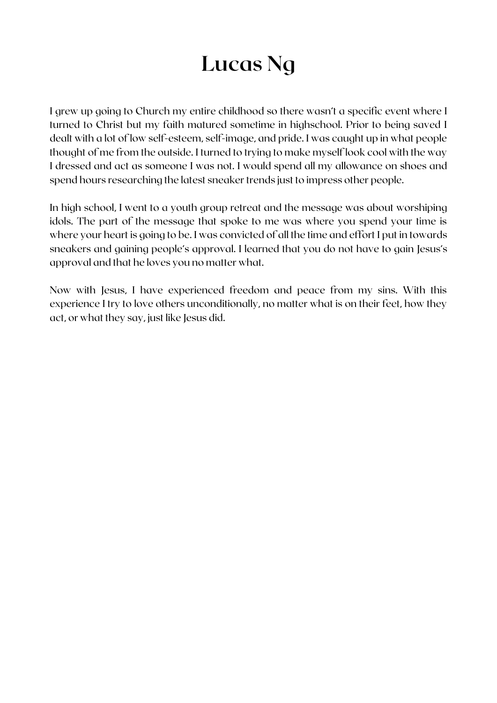# **Lucas Ng**

I grew up going to Church my entire childhood so there wasn't a specific event where I turned to Christ but my faith matured sometime in highschool. Prior to being saved I dealt with a lot of low self-esteem, self-image, and pride. I was caught up in what people thought of me from the outside. I turned to trying to make myself look cool with the way I dressed and act as someone I was not. I would spend all my allowance on shoes and spend hours researching the latest sneaker trends just to impress other people.

In high school, I went to a youth group retreat and the message was about worshiping idols. The part of the message that spoke to me was where you spend your time is where your heart is going to be. I was convicted of all the time and effort I put in towards sneakers and gaining people's approval. I learned that you do not have to gain Jesus's approval and that he loves you no matter what.

Now with Jesus, I have experienced freedom and peace from my sins. With this experience I try to love others unconditionally, no matter what is on their feet, how they act, or what they say, just like Jesus did.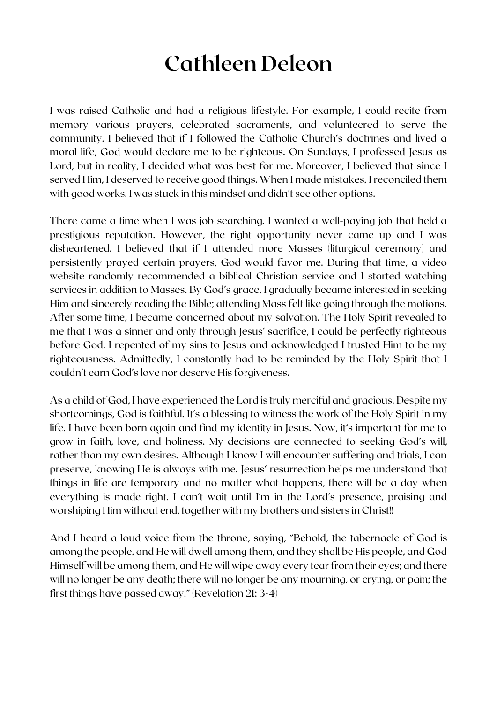### **Cathleen Deleon**

I was raised Catholic and had a religious lifestyle. For example, I could recite from memory various prayers, celebrated sacraments, and volunteered to serve the community. I believed that if I followed the Catholic Church's doctrines and lived a moral life, God would declare me to be righteous. On Sundays, I professed Jesus as Lord, but in reality, I decided what was best for me. Moreover, I believed that since I served Him, I deserved to receive good things. When I made mistakes, I reconciled them with good works. I was stuck in this mindset and didn't see other options.

There came a time when I was job searching. I wanted a well-paying job that held a prestigious reputation. However, the right opportunity never came up and I was disheartened. I believed that if I attended more Masses (liturgical ceremony) and persistently prayed certain prayers, God would favor me. During that time, a video website randomly recommended a biblical Christian service and I started watching services in addition to Masses. By God's grace, I gradually became interested in seeking Him and sincerely reading the Bible; attending Mass felt like going through the motions. After some time, I became concerned about my salvation. The Holy Spirit revealed to me that I was a sinner and only through Jesus' sacrifice, I could be perfectly righteous before God. I repented of my sins to Jesus and acknowledged I trusted Him to be my righteousness. Admittedly, I constantly had to be reminded by the Holy Spirit that I couldn't earn God's love nor deserve His forgiveness.

As a child of God, I have experienced the Lord is truly merciful and gracious. Despite my shortcomings, God is faithful. It's a blessing to witness the work of the Holy Spirit in my life. I have been born again and find my identity in Jesus. Now, it's important for me to grow in faith, love, and holiness. My decisions are connected to seeking God's will, rather than my own desires. Although I know I will encounter suffering and trials, I can preserve, knowing He is always with me. Jesus' resurrection helps me understand that things in life are temporary and no matter what happens, there will be a day when everything is made right. I can't wait until I'm in the Lord's presence, praising and worshiping Him without end, together with my brothers and sisters in Christ!!

And I heard a loud voice from the throne, saying, "Behold, the tabernacle of God is among the people, and He will dwell among them, and they shall be His people, and God Himself will be among them, and He will wipe away every tear from their eyes; and there will no longer be any death; there will no longer be any mourning, or crying, or pain; the first things have passed away." (Revelation 21: 3-4)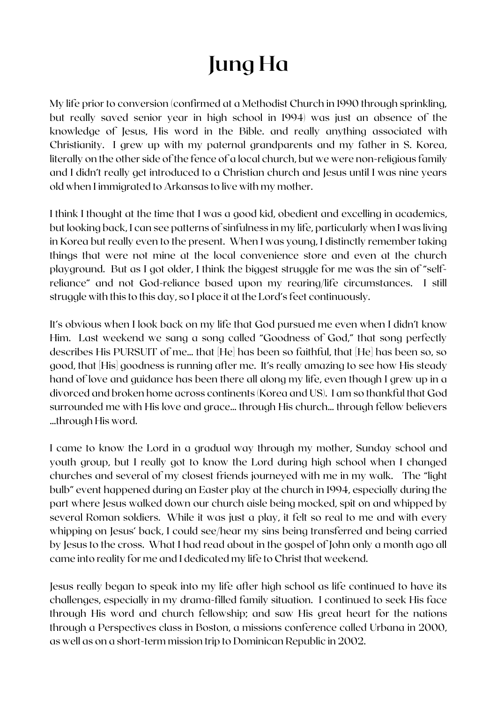# **Jung Ha**

My life prior to conversion (confirmed at a Methodist Church in 1990 through sprinkling, but really saved senior year in high school in 1994) was just an absence of the knowledge of Jesus, His word in the Bible. and really anything associated with Christianity. I grew up with my paternal grandparents and my father in S. Korea, literally on the other side of the fence of a local church, but we were non-religious family and I didn't really get introduced to a Christian church and Jesus until I was nine years old when I immigrated to Arkansas to live with my mother.

I think I thought at the time that I was a good kid, obedient and excelling in academics, but looking back, I can see patterns of sinfulness in my life, particularly when I was living in Korea but really even to the present. When I was young, I distinctly remember taking things that were not mine at the local convenience store and even at the church playground. But as I got older, I think the biggest struggle for me was the sin of "selfreliance" and not God-reliance based upon my rearing/life circumstances. I still struggle with this to this day, so I place it at the Lord's feet continuously.

It's obvious when I look back on my life that God pursued me even when I didn't know Him. Last weekend we sang a song called "Goodness of God," that song perfectly describes His PURSUIT of me… that [He] has been so faithful, that [He] has been so, so good, that [His] goodness is running after me. It's really amazing to see how His steady hand of love and guidance has been there all along my life, even though I grew up in a divorced and broken home across continents (Korea and US). I am so thankful that God surrounded me with His love and grace… through His church… through fellow believers …through His word.

I came to know the Lord in a gradual way through my mother, Sunday school and youth group, but I really got to know the Lord during high school when I changed churches and several of my closest friends journeyed with me in my walk. The "light bulb" event happened during an Easter play at the church in 1994, especially during the part where Jesus walked down our church aisle being mocked, spit on and whipped by several Roman soldiers. While it was just a play, it felt so real to me and with every whipping on Jesus' back, I could see/hear my sins being transferred and being carried by Jesus to the cross. What I had read about in the gospel of John only a month ago all came into reality for me and I dedicated my life to Christ that weekend.

Jesus really began to speak into my life after high school as life continued to have its challenges, especially in my drama-filled family situation. I continued to seek His face through His word and church fellowship; and saw His great heart for the nations through a Perspectives class in Boston, a missions conference called Urbana in 2000, as well as on a short-term mission trip to Dominican Republic in 2002.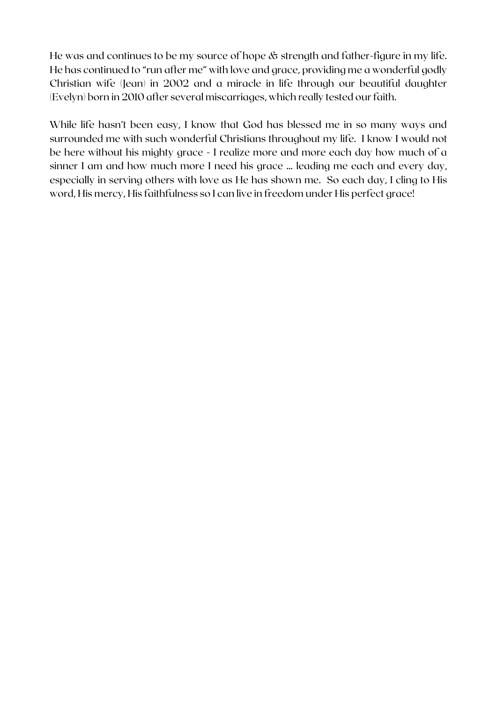He was and continues to be my source of hope & strength and father-figure in my life. He has continued to "run after me" with love and grace, providing me a wonderful godly Christian wife (Jean) in 2002 and a miracle in life through our beautiful daughter (Evelyn) born in 2010 after several miscarriages, which really tested our faith.

While life hasn't been easy, I know that God has blessed me in so many ways and surrounded me with such wonderful Christians throughout my life. I know I would not be here without his mighty grace - I realize more and more each day how much of a sinner I am and how much more I need his grace … leading me each and every day, especially in serving others with love as He has shown me. So each day, I cling to His word, His mercy, His faithfulness so I can live in freedom under His perfect grace!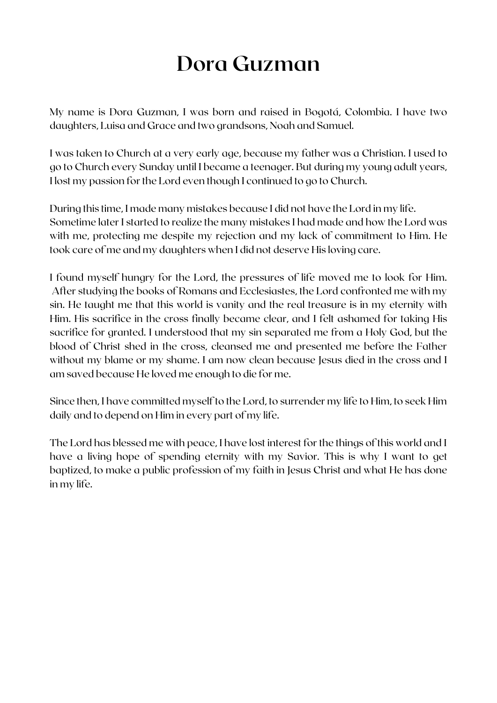### **Dora Guzman**

My name is Dora Guzman, I was born and raised in Bogotá, Colombia. I have two daughters, Luisa and Grace and two grandsons, Noah and Samuel.

I was taken to Church at a very early age, because my father was a Christian. I used to go to Church every Sunday until I became a teenager. But during my young adult years, I lost my passion for the Lord even though I continued to go to Church.

During this time, I made many mistakes because I did not have the Lord in my life. Sometime later I started to realize the many mistakes I had made and how the Lord was with me, protecting me despite my rejection and my lack of commitment to Him. He took care of me and my daughters when I did not deserve His loving care.

I found myself hungry for the Lord, the pressures of life moved me to look for Him. After studying the books of Romans and Ecclesiastes, the Lord confronted me with my sin. He taught me that this world is vanity and the real treasure is in my eternity with Him. His sacrifice in the cross finally became clear, and I felt ashamed for taking His sacrifice for granted. I understood that my sin separated me from a Holy God, but the blood of Christ shed in the cross, cleansed me and presented me before the Father without my blame or my shame. I am now clean because Jesus died in the cross and I am saved because He loved me enough to die for me.

Since then, I have committed myself to the Lord, to surrender my life to Him, to seek Him daily and to depend on Him in every part of my life.

The Lord has blessed me with peace, I have lost interest for the things of this world and I have a living hope of spending eternity with my Savior. This is why I want to get baptized, to make a public profession of my faith in Jesus Christ and what He has done in my life.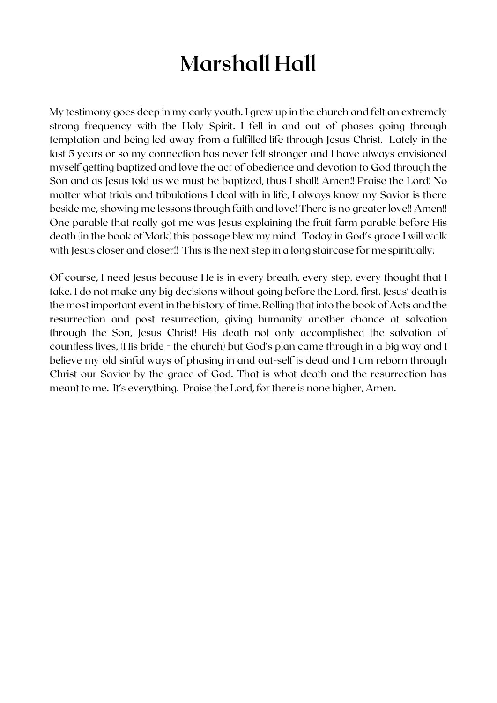# **Marshall Hall**

My testimony goes deep in my early youth. I grew up in the church and felt an extremely strong frequency with the Holy Spirit. I fell in and out of phases going through temptation and being led away from a fulfilled life through Jesus Christ. Lately in the last 5 years or so my connection has never felt stronger and I have always envisioned myself getting baptized and love the act of obedience and devotion to God through the Son and as Jesus told us we must be baptized, thus I shall! Amen!! Praise the Lord! No matter what trials and tribulations I deal with in life, I always know my Savior is there beside me, showing me lessons through faith and love! There is no greater love!! Amen!! One parable that really got me was Jesus explaining the fruit farm parable before His death (in the book of Mark) this passage blew my mind! Today in God's grace I will walk with Jesus closer and closer!! This is the next step in a long staircase for me spiritually.

Of course, I need Jesus because He is in every breath, every step, every thought that I take. I do not make any big decisions without going before the Lord, first. Jesus' death is the most important event in the history of time. Rolling that into the book of Acts and the resurrection and post resurrection, giving humanity another chance at salvation through the Son, Jesus Christ! His death not only accomplished the salvation of countless lives, (His bride = the church) but God's plan came through in a big way and I believe my old sinful ways of phasing in and out-self is dead and I am reborn through Christ our Savior by the grace of God. That is what death and the resurrection has meant to me. It's everything. Praise the Lord, for there is none higher, Amen.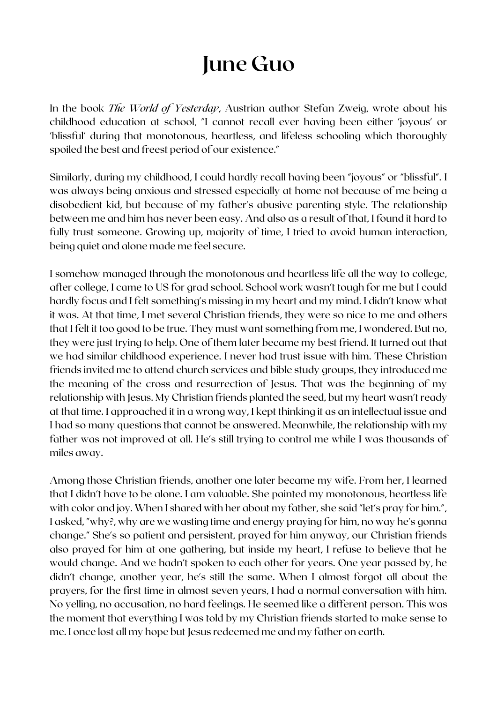### **June Guo**

In the book *The World of Yesterday*, Austrian author Stefan Zweig, wrote about his childhood education at school, "I cannot recall ever having been either 'joyous' or 'blissful' during that monotonous, heartless, and lifeless schooling which thoroughly spoiled the best and freest period of our existence."

Similarly, during my childhood, I could hardly recall having been "joyous" or "blissful". I was always being anxious and stressed especially at home not because of me being a disobedient kid, but because of my father's abusive parenting style. The relationship between me and him has never been easy. And also as a result of that, I found it hard to fully trust someone. Growing up, majority of time, I tried to avoid human interaction, being quiet and alone made me feel secure.

I somehow managed through the monotonous and heartless life all the way to college, after college, I came to US for grad school. School work wasn't tough for me but I could hardly focus and I felt something's missing in my heart and my mind. I didn't know what it was. At that time, I met several Christian friends, they were so nice to me and others that I felt it too good to be true. They must want something from me, I wondered. But no, they were just trying to help. One of them later became my best friend. It turned out that we had similar childhood experience. I never had trust issue with him. These Christian friends invited me to attend church services and bible study groups, they introduced me the meaning of the cross and resurrection of Jesus. That was the beginning of my relationship with Jesus. My Christian friends planted the seed, but my heart wasn't ready at that time. I approached it in a wrong way, I kept thinking it as an intellectual issue and I had so many questions that cannot be answered. Meanwhile, the relationship with my father was not improved at all. He's still trying to control me while I was thousands of miles away.

Among those Christian friends, another one later became my wife. From her, I learned that I didn't have to be alone. I am valuable. She painted my monotonous, heartless life with color and joy. When I shared with her about my father, she said "let's pray for him.", I asked, "why?, why are we wasting time and energy praying for him, no way he's gonna change." She's so patient and persistent, prayed for him anyway, our Christian friends also prayed for him at one gathering, but inside my heart, I refuse to believe that he would change. And we hadn't spoken to each other for years. One year passed by, he didn't change, another year, he's still the same. When I almost forgot all about the prayers, for the first time in almost seven years, I had a normal conversation with him. No yelling, no accusation, no hard feelings. He seemed like a different person. This was the moment that everything I was told by my Christian friends started to make sense to me. I once lost all my hope but Jesus redeemed me and my father on earth.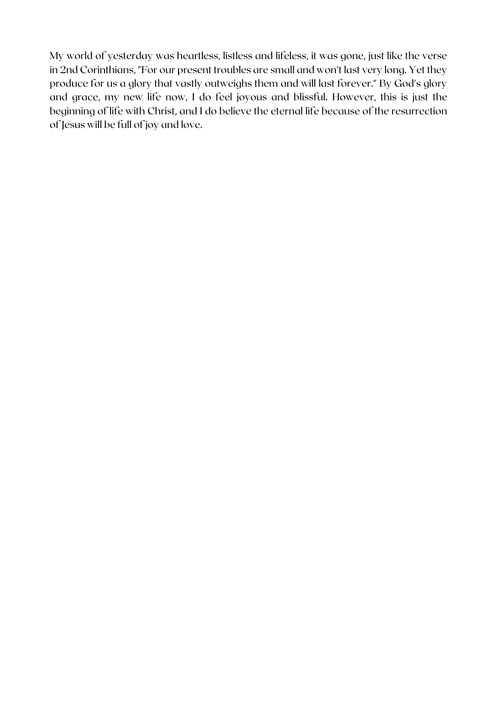My world of yesterday was heartless, listless and lifeless, it was gone, just like the verse in 2nd Corinthians, "For our present troubles are small and won't last very long. Yet they produce for us a glory that vastly outweighs them and will last forever." By God's glory and grace, my new life now, I do feel joyous and blissful. However, this is just the beginning of life with Christ, and I do believe the eternal life because of the resurrection of Jesus will be full of joy and love.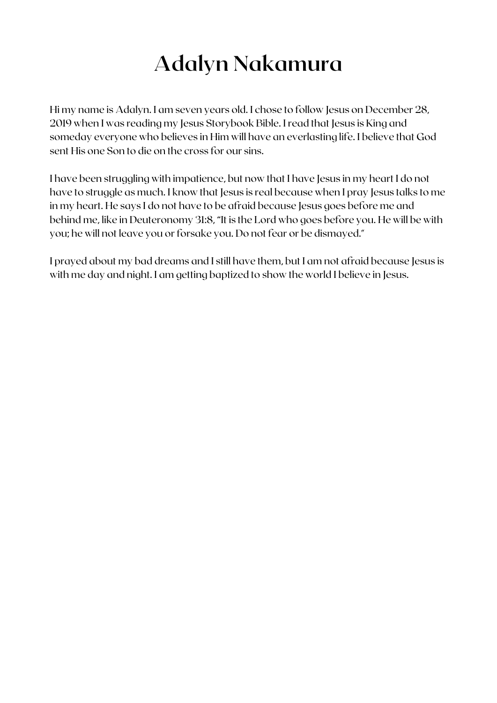# **Adalyn Nakamura**

Hi my name is Adalyn. I am seven years old. I chose to follow Jesus on December 28, 2019 when I was reading my Jesus Storybook Bible. I read that Jesus is King and someday everyone who believes in Him will have an everlasting life. I believe that God sent His one Son to die on the cross for our sins.

I have been struggling with impatience, but now that I have Jesus in my heart I do not have to struggle as much. I know that Jesus is real because when I pray Jesus talks to me in my heart. He says I do not have to be afraid because Jesus goes before me and behind me, like in Deuteronomy 31:8, "It is the Lord who goes before you. He will be with you; he will not leave you or forsake you. Do not fear or be dismayed."

I prayed about my bad dreams and I still have them, but I am not afraid because Jesus is with me day and night. I am getting baptized to show the world I believe in Jesus.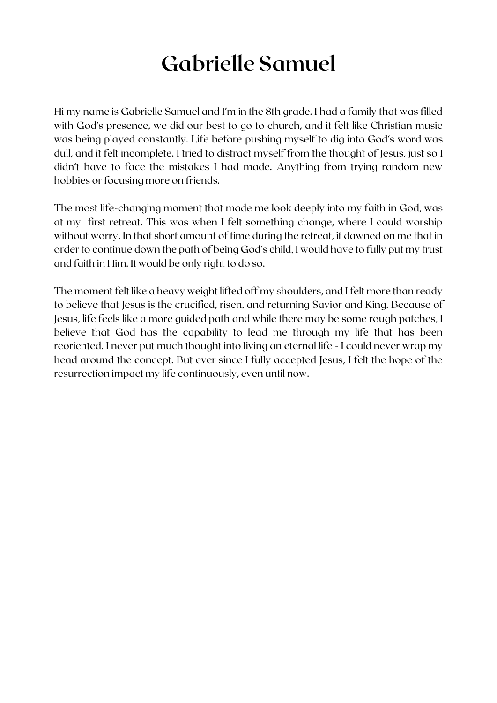### **Gabrielle Samuel**

Hi my name is Gabrielle Samuel and I'm in the 8th grade. I had a family that was filled with God's presence, we did our best to go to church, and it felt like Christian music was being played constantly. Life before pushing myself to dig into God's word was dull, and it felt incomplete. I tried to distract myself from the thought of Jesus, just so I didn't have to face the mistakes I had made. Anything from trying random new hobbies or focusing more on friends.

The most life-changing moment that made me look deeply into my faith in God, was at my first retreat. This was when I felt something change, where I could worship without worry. In that short amount of time during the retreat, it dawned on me that in order to continue down the path of being God's child, I would have to fully put my trust and faith in Him. It would be only right to do so.

The moment felt like a heavy weight lifted off my shoulders, and I felt more than ready to believe that Jesus is the crucified, risen, and returning Savior and King. Because of Jesus, life feels like a more guided path and while there may be some rough patches, I believe that God has the capability to lead me through my life that has been reoriented. I never put much thought into living an eternal life - I could never wrap my head around the concept. But ever since I fully accepted Jesus, I felt the hope of the resurrection impact my life continuously, even until now.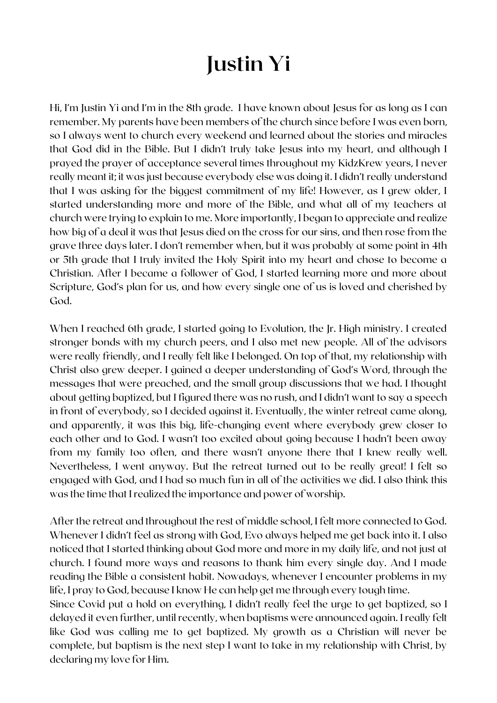# **Justin Yi**

Hi, I'm Justin Yi and I'm in the 8th grade. I have known about Jesus for as long as I can remember. My parents have been members of the church since before I was even born, so I always went to church every weekend and learned about the stories and miracles that God did in the Bible. But I didn't truly take Jesus into my heart, and although I prayed the prayer of acceptance several times throughout my KidzKrew years, I never really meant it; it was just because everybody else was doing it. I didn't really understand that I was asking for the biggest commitment of my life! However, as I grew older, I started understanding more and more of the Bible, and what all of my teachers at church were trying to explain to me. More importantly, I began to appreciate and realize how big of a deal it was that Jesus died on the cross for our sins, and then rose from the grave three days later. I don't remember when, but it was probably at some point in 4th or 5th grade that I truly invited the Holy Spirit into my heart and chose to become a Christian. After I became a follower of God, I started learning more and more about Scripture, God's plan for us, and how every single one of us is loved and cherished by God.

When I reached 6th grade, I started going to Evolution, the Jr. High ministry. I created stronger bonds with my church peers, and I also met new people. All of the advisors were really friendly, and I really felt like I belonged. On top of that, my relationship with Christ also grew deeper. I gained a deeper understanding of God's Word, through the messages that were preached, and the small group discussions that we had. I thought about getting baptized, but I figured there was no rush, and I didn't want to say a speech in front of everybody, so I decided against it. Eventually, the winter retreat came along, and apparently, it was this big, life-changing event where everybody grew closer to each other and to God. I wasn't too excited about going because I hadn't been away from my family too often, and there wasn't anyone there that I knew really well. Nevertheless, I went anyway. But the retreat turned out to be really great! I felt so engaged with God, and I had so much fun in all of the activities we did. I also think this was the time that I realized the importance and power of worship.

After the retreat and throughout the rest of middle school, I felt more connected to God. Whenever I didn't feel as strong with God, Evo always helped me get back into it. I also noticed that I started thinking about God more and more in my daily life, and not just at church. I found more ways and reasons to thank him every single day. And I made reading the Bible a consistent habit. Nowadays, whenever I encounter problems in my life, I pray to God, because I know He can help get me through every tough time.

Since Covid put a hold on everything, I didn't really feel the urge to get baptized, so I delayed it even further, until recently, when baptisms were announced again. I really felt like God was calling me to get baptized. My growth as a Christian will never be complete, but baptism is the next step I want to take in my relationship with Christ, by declaring my love for Him.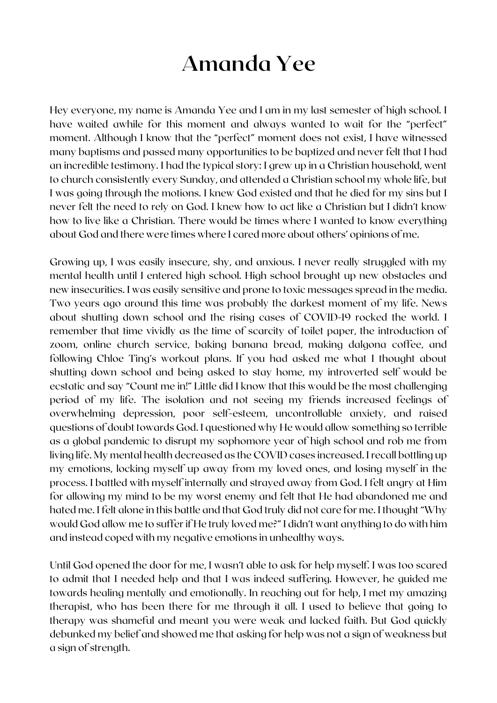#### **Amanda Yee**

Hey everyone, my name is Amanda Yee and I am in my last semester of high school. I have waited awhile for this moment and always wanted to wait for the "perfect" moment. Although I know that the "perfect" moment does not exist, I have witnessed many baptisms and passed many opportunities to be baptized and never felt that I had an incredible testimony. I had the typical story: I grew up in a Christian household, went to church consistently every Sunday, and attended a Christian school my whole life, but I was going through the motions. I knew God existed and that he died for my sins but I never felt the need to rely on God. I knew how to act like a Christian but I didn't know how to live like a Christian. There would be times where I wanted to know everything about God and there were times where I cared more about others' opinions of me.

Growing up, I was easily insecure, shy, and anxious. I never really struggled with my mental health until I entered high school. High school brought up new obstacles and new insecurities. I was easily sensitive and prone to toxic messages spread in the media. Two years ago around this time was probably the darkest moment of my life. News about shutting down school and the rising cases of COVID-19 rocked the world. I remember that time vividly as the time of scarcity of toilet paper, the introduction of zoom, online church service, baking banana bread, making dalgona coffee, and following Chloe Ting's workout plans. If you had asked me what I thought about shutting down school and being asked to stay home, my introverted self would be ecstatic and say "Count me in!" Little did I know that this would be the most challenging period of my life. The isolation and not seeing my friends increased feelings of overwhelming depression, poor self-esteem, uncontrollable anxiety, and raised questions of doubt towards God. I questioned why He would allow something so terrible as a global pandemic to disrupt my sophomore year of high school and rob me from living life. My mental health decreased as the COVID cases increased. I recall bottling up my emotions, locking myself up away from my loved ones, and losing myself in the process. I battled with myself internally and strayed away from God. I felt angry at Him for allowing my mind to be my worst enemy and felt that He had abandoned me and hated me. I felt alone in this battle and that God truly did not care for me. I thought "Why would God allow me to suffer if He truly loved me?" I didn't want anything to do with him and instead coped with my negative emotions in unhealthy ways.

Until God opened the door for me, I wasn't able to ask for help myself. I was too scared to admit that I needed help and that I was indeed suffering. However, he guided me towards healing mentally and emotionally. In reaching out for help, I met my amazing therapist, who has been there for me through it all. I used to believe that going to therapy was shameful and meant you were weak and lacked faith. But God quickly debunked my belief and showed me that asking for help was not a sign of weakness but a sign of strength.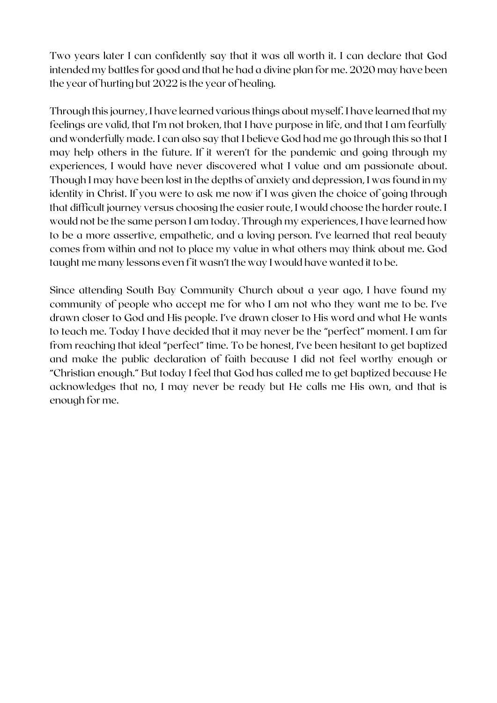Two years later I can confidently say that it was all worth it. I can declare that God intended my battles for good and that he had a divine plan for me. 2020 may have been the year of hurting but 2022 is the year of healing.

Through this journey, I have learned various things about myself. I have learned that my feelings are valid, that I'm not broken, that I have purpose in life, and that I am fearfully and wonderfully made. I can also say that I believe God had me go through this so that I may help others in the future. If it weren't for the pandemic and going through my experiences, I would have never discovered what I value and am passionate about. Though I may have been lost in the depths of anxiety and depression, I was found in my identity in Christ. If you were to ask me now if I was given the choice of going through that difficult journey versus choosing the easier route, I would choose the harder route. I would not be the same person I am today. Through my experiences, I have learned how to be a more assertive, empathetic, and a loving person. I've learned that real beauty comes from within and not to place my value in what others may think about me. God taught me many lessons even f it wasn't the way I would have wanted it to be.

Since attending South Bay Community Church about a year ago, I have found my community of people who accept me for who I am not who they want me to be. I've drawn closer to God and His people. I've drawn closer to His word and what He wants to teach me. Today I have decided that it may never be the "perfect" moment. I am far from reaching that ideal "perfect" time. To be honest, I've been hesitant to get baptized and make the public declaration of faith because I did not feel worthy enough or "Christian enough." But today I feel that God has called me to get baptized because He acknowledges that no, I may never be ready but He calls me His own, and that is enough for me.